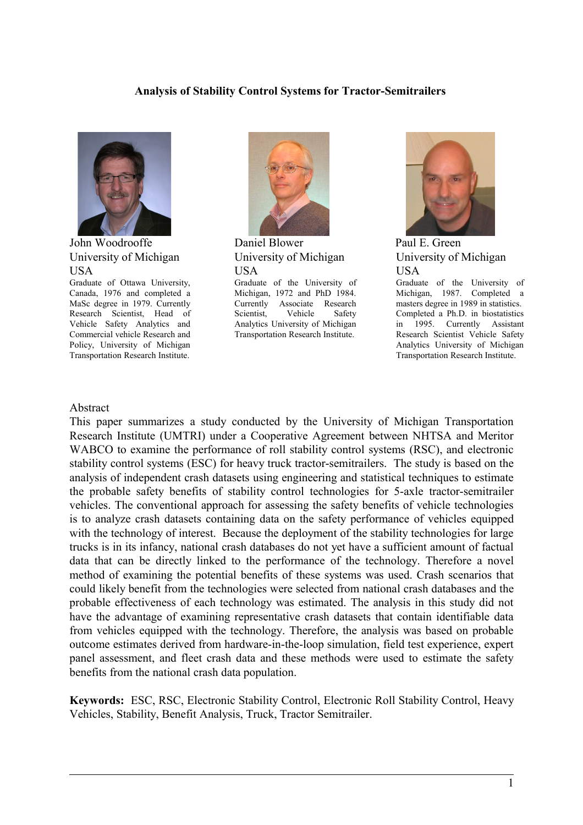#### **Analysis of Stability Control Systems for Tractor-Semitrailers**



John Woodrooffe University of Michigan USA

Graduate of Ottawa University, Canada, 1976 and completed a MaSc degree in 1979. Currently Research Scientist, Head of Vehicle Safety Analytics and Commercial vehicle Research and Policy, University of Michigan Transportation Research Institute.



Daniel Blower University of Michigan USA

Graduate of the University of Michigan, 1972 and PhD 1984. Currently Associate Research Scientist, Vehicle Safety Analytics University of Michigan Transportation Research Institute.



Paul E. Green University of Michigan USA

Graduate of the University of Michigan, 1987. Completed a masters degree in 1989 in statistics. Completed a Ph.D. in biostatistics in 1995. Currently Assistant Research Scientist Vehicle Safety Analytics University of Michigan Transportation Research Institute.

#### Abstract

This paper summarizes a study conducted by the University of Michigan Transportation Research Institute (UMTRI) under a Cooperative Agreement between NHTSA and Meritor WABCO to examine the performance of roll stability control systems (RSC), and electronic stability control systems (ESC) for heavy truck tractor-semitrailers. The study is based on the analysis of independent crash datasets using engineering and statistical techniques to estimate the probable safety benefits of stability control technologies for 5-axle tractor-semitrailer vehicles. The conventional approach for assessing the safety benefits of vehicle technologies is to analyze crash datasets containing data on the safety performance of vehicles equipped with the technology of interest. Because the deployment of the stability technologies for large trucks is in its infancy, national crash databases do not yet have a sufficient amount of factual data that can be directly linked to the performance of the technology. Therefore a novel method of examining the potential benefits of these systems was used. Crash scenarios that could likely benefit from the technologies were selected from national crash databases and the probable effectiveness of each technology was estimated. The analysis in this study did not have the advantage of examining representative crash datasets that contain identifiable data from vehicles equipped with the technology. Therefore, the analysis was based on probable outcome estimates derived from hardware-in-the-loop simulation, field test experience, expert panel assessment, and fleet crash data and these methods were used to estimate the safety benefits from the national crash data population.

**Keywords:** ESC, RSC, Electronic Stability Control, Electronic Roll Stability Control, Heavy Vehicles, Stability, Benefit Analysis, Truck, Tractor Semitrailer.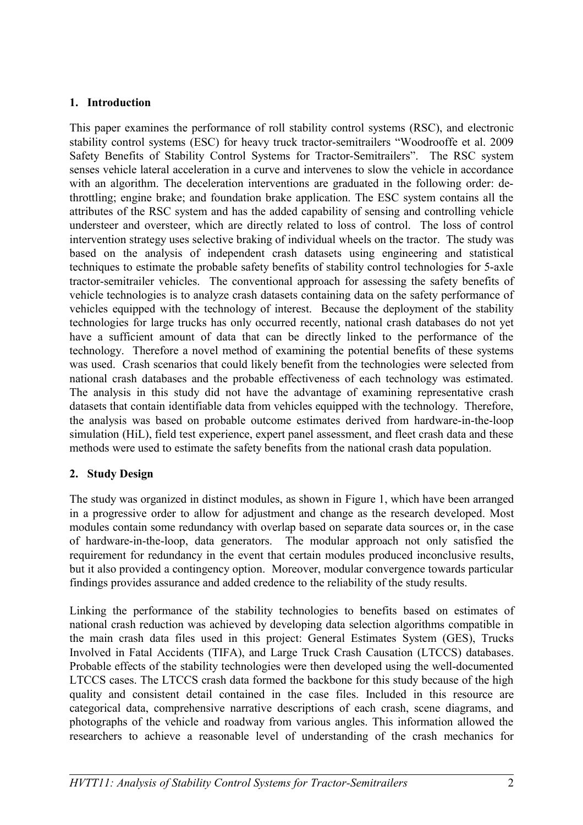### **1. Introduction**

This paper examines the performance of roll stability control systems (RSC), and electronic stability control systems (ESC) for heavy truck tractor-semitrailers "Woodrooffe et al. 2009 Safety Benefits of Stability Control Systems for Tractor-Semitrailers". The RSC system senses vehicle lateral acceleration in a curve and intervenes to slow the vehicle in accordance with an algorithm. The deceleration interventions are graduated in the following order: dethrottling; engine brake; and foundation brake application. The ESC system contains all the attributes of the RSC system and has the added capability of sensing and controlling vehicle understeer and oversteer, which are directly related to loss of control. The loss of control intervention strategy uses selective braking of individual wheels on the tractor. The study was based on the analysis of independent crash datasets using engineering and statistical techniques to estimate the probable safety benefits of stability control technologies for 5-axle tractor-semitrailer vehicles. The conventional approach for assessing the safety benefits of vehicle technologies is to analyze crash datasets containing data on the safety performance of vehicles equipped with the technology of interest. Because the deployment of the stability technologies for large trucks has only occurred recently, national crash databases do not yet have a sufficient amount of data that can be directly linked to the performance of the technology. Therefore a novel method of examining the potential benefits of these systems was used. Crash scenarios that could likely benefit from the technologies were selected from national crash databases and the probable effectiveness of each technology was estimated. The analysis in this study did not have the advantage of examining representative crash datasets that contain identifiable data from vehicles equipped with the technology. Therefore, the analysis was based on probable outcome estimates derived from hardware-in-the-loop simulation (HiL), field test experience, expert panel assessment, and fleet crash data and these methods were used to estimate the safety benefits from the national crash data population.

# **2. Study Design**

The study was organized in distinct modules, as shown in [Figure 1,](#page-2-0) which have been arranged in a progressive order to allow for adjustment and change as the research developed. Most modules contain some redundancy with overlap based on separate data sources or, in the case of hardware-in-the-loop, data generators. The modular approach not only satisfied the requirement for redundancy in the event that certain modules produced inconclusive results, but it also provided a contingency option. Moreover, modular convergence towards particular findings provides assurance and added credence to the reliability of the study results.

Linking the performance of the stability technologies to benefits based on estimates of national crash reduction was achieved by developing data selection algorithms compatible in the main crash data files used in this project: General Estimates System (GES), Trucks Involved in Fatal Accidents (TIFA), and Large Truck Crash Causation (LTCCS) databases. Probable effects of the stability technologies were then developed using the well-documented LTCCS cases. The LTCCS crash data formed the backbone for this study because of the high quality and consistent detail contained in the case files. Included in this resource are categorical data, comprehensive narrative descriptions of each crash, scene diagrams, and photographs of the vehicle and roadway from various angles. This information allowed the researchers to achieve a reasonable level of understanding of the crash mechanics for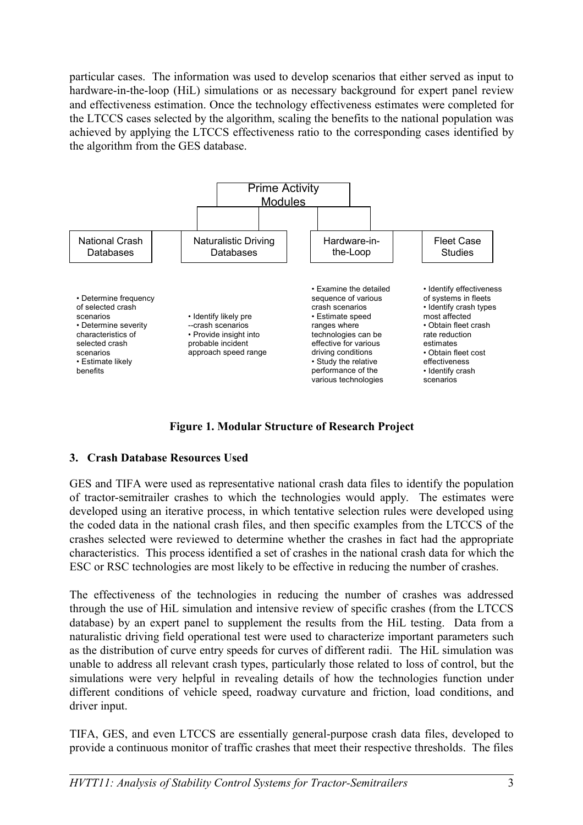particular cases. The information was used to develop scenarios that either served as input to hardware-in-the-loop (HiL) simulations or as necessary background for expert panel review and effectiveness estimation. Once the technology effectiveness estimates were completed for the LTCCS cases selected by the algorithm, scaling the benefits to the national population was achieved by applying the LTCCS effectiveness ratio to the corresponding cases identified by the algorithm from the GES database.



<span id="page-2-0"></span>**Figure 1. Modular Structure of Research Project**

# **3. Crash Database Resources Used**

GES and TIFA were used as representative national crash data files to identify the population of tractor-semitrailer crashes to which the technologies would apply. The estimates were developed using an iterative process, in which tentative selection rules were developed using the coded data in the national crash files, and then specific examples from the LTCCS of the crashes selected were reviewed to determine whether the crashes in fact had the appropriate characteristics. This process identified a set of crashes in the national crash data for which the ESC or RSC technologies are most likely to be effective in reducing the number of crashes.

The effectiveness of the technologies in reducing the number of crashes was addressed through the use of HiL simulation and intensive review of specific crashes (from the LTCCS database) by an expert panel to supplement the results from the HiL testing. Data from a naturalistic driving field operational test were used to characterize important parameters such as the distribution of curve entry speeds for curves of different radii. The HiL simulation was unable to address all relevant crash types, particularly those related to loss of control, but the simulations were very helpful in revealing details of how the technologies function under different conditions of vehicle speed, roadway curvature and friction, load conditions, and driver input.

TIFA, GES, and even LTCCS are essentially general-purpose crash data files, developed to provide a continuous monitor of traffic crashes that meet their respective thresholds. The files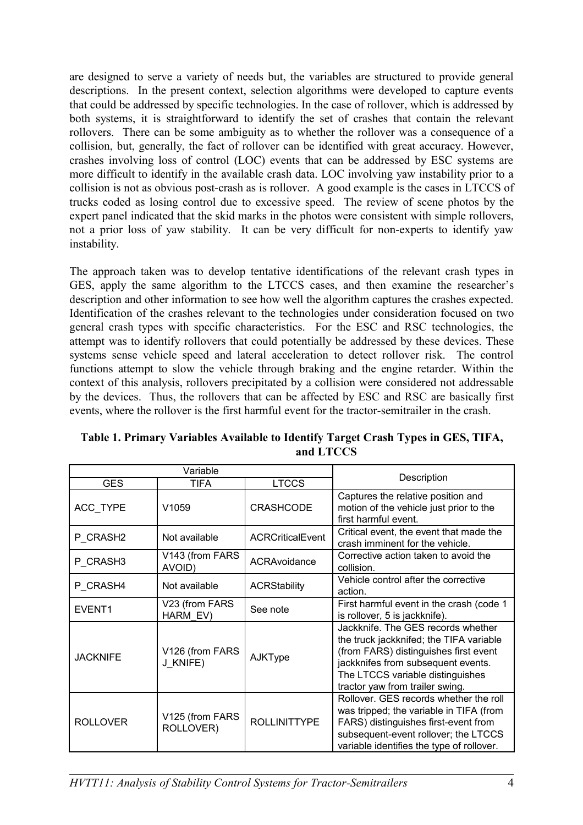are designed to serve a variety of needs but, the variables are structured to provide general descriptions. In the present context, selection algorithms were developed to capture events that could be addressed by specific technologies. In the case of rollover, which is addressed by both systems, it is straightforward to identify the set of crashes that contain the relevant rollovers. There can be some ambiguity as to whether the rollover was a consequence of a collision, but, generally, the fact of rollover can be identified with great accuracy. However, crashes involving loss of control (LOC) events that can be addressed by ESC systems are more difficult to identify in the available crash data. LOC involving yaw instability prior to a collision is not as obvious post-crash as is rollover. A good example is the cases in LTCCS of trucks coded as losing control due to excessive speed. The review of scene photos by the expert panel indicated that the skid marks in the photos were consistent with simple rollovers, not a prior loss of yaw stability. It can be very difficult for non-experts to identify yaw instability.

The approach taken was to develop tentative identifications of the relevant crash types in GES, apply the same algorithm to the LTCCS cases, and then examine the researcher's description and other information to see how well the algorithm captures the crashes expected. Identification of the crashes relevant to the technologies under consideration focused on two general crash types with specific characteristics. For the ESC and RSC technologies, the attempt was to identify rollovers that could potentially be addressed by these devices. These systems sense vehicle speed and lateral acceleration to detect rollover risk. The control functions attempt to slow the vehicle through braking and the engine retarder. Within the context of this analysis, rollovers precipitated by a collision were considered not addressable by the devices. Thus, the rollovers that can be affected by ESC and RSC are basically first events, where the rollover is the first harmful event for the tractor-semitrailer in the crash.

| Variable        |                              |                         |                                                                                                                                                                                                                                     |  |
|-----------------|------------------------------|-------------------------|-------------------------------------------------------------------------------------------------------------------------------------------------------------------------------------------------------------------------------------|--|
| <b>GES</b>      | TIFA                         | <b>LTCCS</b>            | Description                                                                                                                                                                                                                         |  |
| ACC_TYPE        | V <sub>1059</sub>            | <b>CRASHCODE</b>        | Captures the relative position and<br>motion of the vehicle just prior to the<br>first harmful event.                                                                                                                               |  |
| P CRASH2        | Not available                | <b>ACRCriticalEvent</b> | Critical event, the event that made the<br>crash imminent for the vehicle.                                                                                                                                                          |  |
| P CRASH3        | V143 (from FARS<br>AVOID)    | ACRAvoidance            | Corrective action taken to avoid the<br>collision.                                                                                                                                                                                  |  |
| P CRASH4        | Not available                | <b>ACRStability</b>     | Vehicle control after the corrective<br>action.                                                                                                                                                                                     |  |
| EVENT1          | V23 (from FARS<br>HARM EV)   | See note                | First harmful event in the crash (code 1<br>is rollover, 5 is jackknife).                                                                                                                                                           |  |
| <b>JACKNIFE</b> | V126 (from FARS<br>J KNIFE)  | AJKType                 | Jackknife. The GES records whether<br>the truck jackknifed; the TIFA variable<br>(from FARS) distinguishes first event<br>jackknifes from subsequent events.<br>The LTCCS variable distinguishes<br>tractor yaw from trailer swing. |  |
| <b>ROLLOVER</b> | V125 (from FARS<br>ROLLOVER) | <b>ROLLINITTYPE</b>     | Rollover. GES records whether the roll<br>was tripped; the variable in TIFA (from<br>FARS) distinguishes first-event from<br>subsequent-event rollover; the LTCCS<br>variable identifies the type of rollover.                      |  |

<span id="page-3-0"></span>**Table 1. Primary Variables Available to Identify Target Crash Types in GES, TIFA, and LTCCS**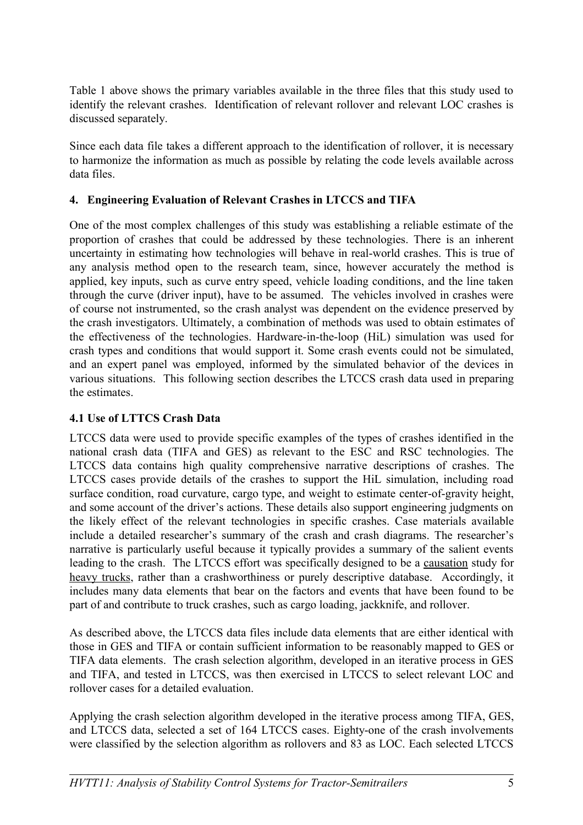[Table 1](#page-3-0) above shows the primary variables available in the three files that this study used to identify the relevant crashes. Identification of relevant rollover and relevant LOC crashes is discussed separately.

Since each data file takes a different approach to the identification of rollover, it is necessary to harmonize the information as much as possible by relating the code levels available across data files.

### **4. Engineering Evaluation of Relevant Crashes in LTCCS and TIFA**

One of the most complex challenges of this study was establishing a reliable estimate of the proportion of crashes that could be addressed by these technologies. There is an inherent uncertainty in estimating how technologies will behave in real-world crashes. This is true of any analysis method open to the research team, since, however accurately the method is applied, key inputs, such as curve entry speed, vehicle loading conditions, and the line taken through the curve (driver input), have to be assumed. The vehicles involved in crashes were of course not instrumented, so the crash analyst was dependent on the evidence preserved by the crash investigators. Ultimately, a combination of methods was used to obtain estimates of the effectiveness of the technologies. Hardware-in-the-loop (HiL) simulation was used for crash types and conditions that would support it. Some crash events could not be simulated, and an expert panel was employed, informed by the simulated behavior of the devices in various situations. This following section describes the LTCCS crash data used in preparing the estimates.

#### **4.1 Use of LTTCS Crash Data**

LTCCS data were used to provide specific examples of the types of crashes identified in the national crash data (TIFA and GES) as relevant to the ESC and RSC technologies. The LTCCS data contains high quality comprehensive narrative descriptions of crashes. The LTCCS cases provide details of the crashes to support the HiL simulation, including road surface condition, road curvature, cargo type, and weight to estimate center-of-gravity height, and some account of the driver's actions. These details also support engineering judgments on the likely effect of the relevant technologies in specific crashes. Case materials available include a detailed researcher's summary of the crash and crash diagrams. The researcher's narrative is particularly useful because it typically provides a summary of the salient events leading to the crash. The LTCCS effort was specifically designed to be a causation study for heavy trucks, rather than a crashworthiness or purely descriptive database. Accordingly, it includes many data elements that bear on the factors and events that have been found to be part of and contribute to truck crashes, such as cargo loading, jackknife, and rollover.

As described above, the LTCCS data files include data elements that are either identical with those in GES and TIFA or contain sufficient information to be reasonably mapped to GES or TIFA data elements. The crash selection algorithm, developed in an iterative process in GES and TIFA, and tested in LTCCS, was then exercised in LTCCS to select relevant LOC and rollover cases for a detailed evaluation.

Applying the crash selection algorithm developed in the iterative process among TIFA, GES, and LTCCS data, selected a set of 164 LTCCS cases. Eighty-one of the crash involvements were classified by the selection algorithm as rollovers and 83 as LOC. Each selected LTCCS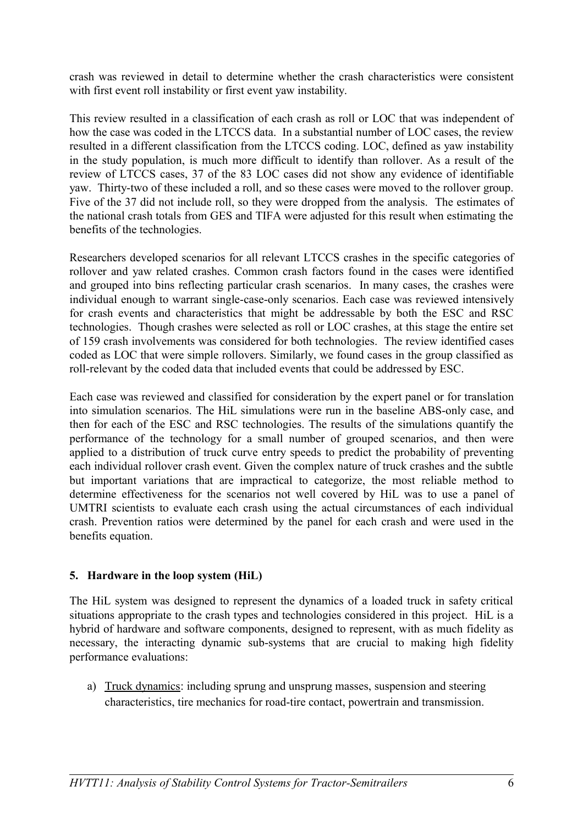crash was reviewed in detail to determine whether the crash characteristics were consistent with first event roll instability or first event yaw instability.

This review resulted in a classification of each crash as roll or LOC that was independent of how the case was coded in the LTCCS data. In a substantial number of LOC cases, the review resulted in a different classification from the LTCCS coding. LOC, defined as yaw instability in the study population, is much more difficult to identify than rollover. As a result of the review of LTCCS cases, 37 of the 83 LOC cases did not show any evidence of identifiable yaw. Thirty-two of these included a roll, and so these cases were moved to the rollover group. Five of the 37 did not include roll, so they were dropped from the analysis. The estimates of the national crash totals from GES and TIFA were adjusted for this result when estimating the benefits of the technologies.

Researchers developed scenarios for all relevant LTCCS crashes in the specific categories of rollover and yaw related crashes. Common crash factors found in the cases were identified and grouped into bins reflecting particular crash scenarios. In many cases, the crashes were individual enough to warrant single-case-only scenarios. Each case was reviewed intensively for crash events and characteristics that might be addressable by both the ESC and RSC technologies. Though crashes were selected as roll or LOC crashes, at this stage the entire set of 159 crash involvements was considered for both technologies. The review identified cases coded as LOC that were simple rollovers. Similarly, we found cases in the group classified as roll-relevant by the coded data that included events that could be addressed by ESC.

Each case was reviewed and classified for consideration by the expert panel or for translation into simulation scenarios. The HiL simulations were run in the baseline ABS-only case, and then for each of the ESC and RSC technologies. The results of the simulations quantify the performance of the technology for a small number of grouped scenarios, and then were applied to a distribution of truck curve entry speeds to predict the probability of preventing each individual rollover crash event. Given the complex nature of truck crashes and the subtle but important variations that are impractical to categorize, the most reliable method to determine effectiveness for the scenarios not well covered by HiL was to use a panel of UMTRI scientists to evaluate each crash using the actual circumstances of each individual crash. Prevention ratios were determined by the panel for each crash and were used in the benefits equation.

# **5. Hardware in the loop system (HiL)**

The HiL system was designed to represent the dynamics of a loaded truck in safety critical situations appropriate to the crash types and technologies considered in this project. HiL is a hybrid of hardware and software components, designed to represent, with as much fidelity as necessary, the interacting dynamic sub-systems that are crucial to making high fidelity performance evaluations:

a) Truck dynamics: including sprung and unsprung masses, suspension and steering characteristics, tire mechanics for road-tire contact, powertrain and transmission.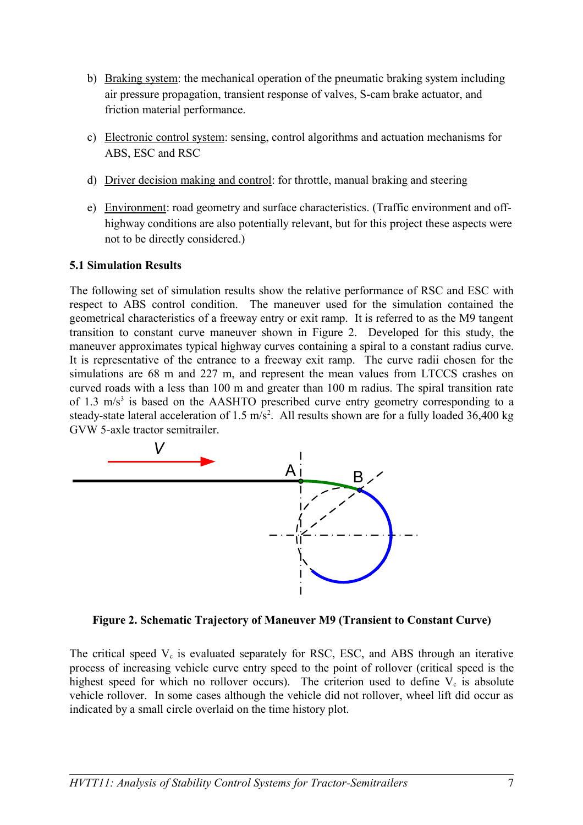- b) Braking system: the mechanical operation of the pneumatic braking system including air pressure propagation, transient response of valves, S-cam brake actuator, and friction material performance.
- c) Electronic control system: sensing, control algorithms and actuation mechanisms for ABS, ESC and RSC
- d) Driver decision making and control: for throttle, manual braking and steering
- e) Environment: road geometry and surface characteristics. (Traffic environment and offhighway conditions are also potentially relevant, but for this project these aspects were not to be directly considered.)

#### **5.1 Simulation Results**

The following set of simulation results show the relative performance of RSC and ESC with respect to ABS control condition. The maneuver used for the simulation contained the geometrical characteristics of a freeway entry or exit ramp. It is referred to as the M9 tangent transition to constant curve maneuver shown in [Figure 2.](#page-6-0) Developed for this study, the maneuver approximates typical highway curves containing a spiral to a constant radius curve. It is representative of the entrance to a freeway exit ramp. The curve radii chosen for the simulations are 68 m and 227 m, and represent the mean values from LTCCS crashes on curved roads with a less than 100 m and greater than 100 m radius. The spiral transition rate of 1.3  $m/s<sup>3</sup>$  is based on the AASHTO prescribed curve entry geometry corresponding to a steady-state lateral acceleration of  $1.5 \text{ m/s}^2$ . All results shown are for a fully loaded 36,400 kg GVW 5-axle tractor semitrailer.



<span id="page-6-0"></span>**Figure 2. Schematic Trajectory of Maneuver M9 (Transient to Constant Curve)**

The critical speed  $V_c$  is evaluated separately for RSC, ESC, and ABS through an iterative process of increasing vehicle curve entry speed to the point of rollover (critical speed is the highest speed for which no rollover occurs). The criterion used to define  $V_c$  is absolute vehicle rollover. In some cases although the vehicle did not rollover, wheel lift did occur as indicated by a small circle overlaid on the time history plot.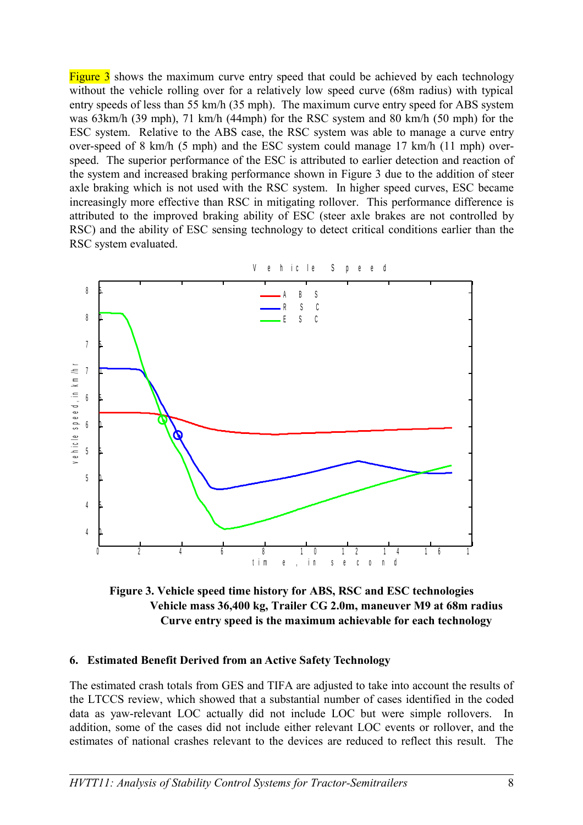[Figure 3](#page-7-0) shows the maximum curve entry speed that could be achieved by each technology without the vehicle rolling over for a relatively low speed curve (68m radius) with typical entry speeds of less than 55 km/h (35 mph). The maximum curve entry speed for ABS system was 63km/h (39 mph), 71 km/h (44mph) for the RSC system and 80 km/h (50 mph) for the ESC system. Relative to the ABS case, the RSC system was able to manage a curve entry over-speed of 8 km/h (5 mph) and the ESC system could manage 17 km/h (11 mph) overspeed. The superior performance of the ESC is attributed to earlier detection and reaction of the system and increased braking performance shown in [Figure 3](#page-7-0) due to the addition of steer axle braking which is not used with the RSC system. In higher speed curves, ESC became increasingly more effective than RSC in mitigating rollover. This performance difference is attributed to the improved braking ability of ESC (steer axle brakes are not controlled by RSC) and the ability of ESC sensing technology to detect critical conditions earlier than the RSC system evaluated.



<span id="page-7-0"></span>**Figure 3. Vehicle speed time history for ABS, RSC and ESC technologies Vehicle mass 36,400 kg, Trailer CG 2.0m, maneuver M9 at 68m radius Curve entry speed is the maximum achievable for each technology**

#### **6. Estimated Benefit Derived from an Active Safety Technology**

The estimated crash totals from GES and TIFA are adjusted to take into account the results of the LTCCS review, which showed that a substantial number of cases identified in the coded data as yaw-relevant LOC actually did not include LOC but were simple rollovers. In addition, some of the cases did not include either relevant LOC events or rollover, and the estimates of national crashes relevant to the devices are reduced to reflect this result. The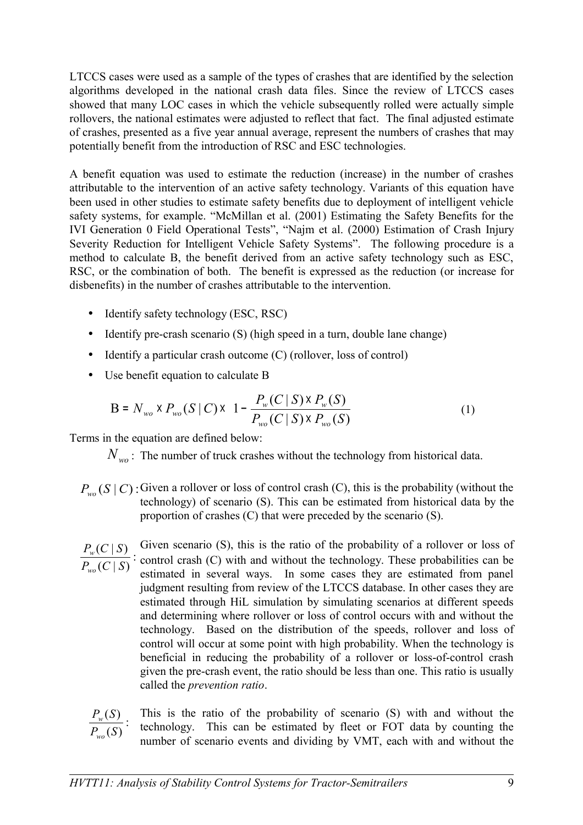LTCCS cases were used as a sample of the types of crashes that are identified by the selection algorithms developed in the national crash data files. Since the review of LTCCS cases showed that many LOC cases in which the vehicle subsequently rolled were actually simple rollovers, the national estimates were adjusted to reflect that fact. The final adjusted estimate of crashes, presented as a five year annual average, represent the numbers of crashes that may potentially benefit from the introduction of RSC and ESC technologies.

A benefit equation was used to estimate the reduction (increase) in the number of crashes attributable to the intervention of an active safety technology. Variants of this equation have been used in other studies to estimate safety benefits due to deployment of intelligent vehicle safety systems, for example. "McMillan et al. (2001) Estimating the Safety Benefits for the IVI Generation 0 Field Operational Tests", "Najm et al. (2000) Estimation of Crash Injury Severity Reduction for Intelligent Vehicle Safety Systems". The following procedure is a method to calculate B, the benefit derived from an active safety technology such as ESC, RSC, or the combination of both. The benefit is expressed as the reduction (or increase for disbenefits) in the number of crashes attributable to the intervention.

- Identify safety technology (ESC, RSC)
- Identify pre-crash scenario (S) (high speed in a turn, double lane change)
- Identify a particular crash outcome (C) (rollover, loss of control)
- Use benefit equation to calculate B

$$
B = N_{wo} \times P_{wo} (S | C) \times \left[ 1 - \frac{P_w (C | S) \times P_w (S)}{P_{wo} (C | S) \times P_{wo} (S)} \right]
$$
 (1)

Terms in the equation are defined below:

*N*<sub>wo</sub>: The number of truck crashes without the technology from historical data.

- $P_{wo}(S \mid C)$ : Given a rollover or loss of control crash (C), this is the probability (without the technology) of scenario (S). This can be estimated from historical data by the proportion of crashes (C) that were preceded by the scenario (S).
- Given scenario (S), this is the ratio of the probability of a rollover or loss of : control crash (C) with and without the technology. These probabilities can be estimated in several ways. In some cases they are estimated from panel judgment resulting from review of the LTCCS database. In other cases they are estimated through HiL simulation by simulating scenarios at different speeds and determining where rollover or loss of control occurs with and without the technology. Based on the distribution of the speeds, rollover and loss of control will occur at some point with high probability. When the technology is beneficial in reducing the probability of a rollover or loss-of-control crash given the pre-crash event, the ratio should be less than one. This ratio is usually called the *prevention ratio*.  $(C | S)$  $(C | S)$  $P_{wo}(C \mid S)$  $P_w(C | S)$ *wo w*

This is the ratio of the probability of scenario (S) with and without the technology. This can be estimated by fleet or FOT data by counting the number of scenario events and dividing by VMT, each with and without the :  $(S)$  $(S)$  $P_{wa}(S)$  $P_{\rm w}$  $(S)$ *wo w*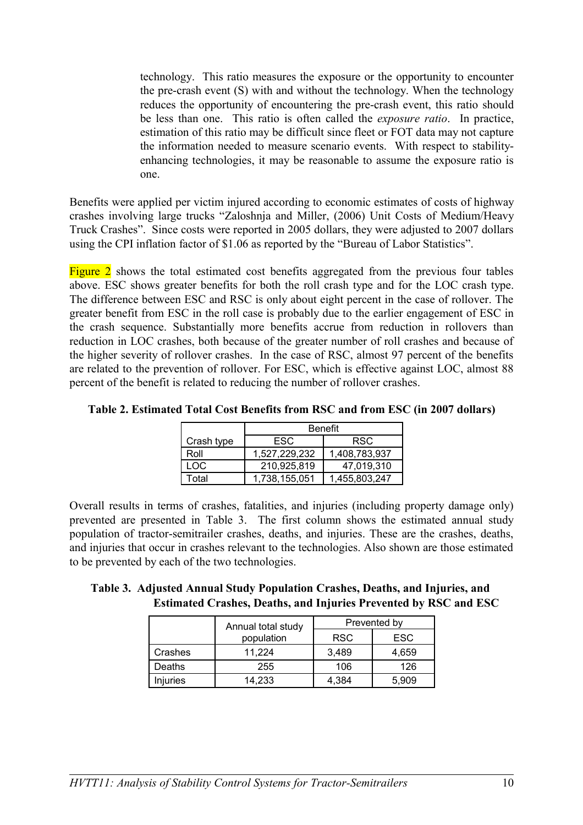technology. This ratio measures the exposure or the opportunity to encounter the pre-crash event (S) with and without the technology. When the technology reduces the opportunity of encountering the pre-crash event, this ratio should be less than one. This ratio is often called the *exposure ratio*. In practice, estimation of this ratio may be difficult since fleet or FOT data may not capture the information needed to measure scenario events. With respect to stabilityenhancing technologies, it may be reasonable to assume the exposure ratio is one.

Benefits were applied per victim injured according to economic estimates of costs of highway crashes involving large trucks "Zaloshnja and Miller, (2006) Unit Costs of Medium/Heavy Truck Crashes". Since costs were reported in 2005 dollars, they were adjusted to 2007 dollars using the CPI inflation factor of \$1.06 as reported by the "Bureau of Labor Statistics".

[Figure 2](#page-6-0) shows the total estimated cost benefits aggregated from the previous four tables above. ESC shows greater benefits for both the roll crash type and for the LOC crash type. The difference between ESC and RSC is only about eight percent in the case of rollover. The greater benefit from ESC in the roll case is probably due to the earlier engagement of ESC in the crash sequence. Substantially more benefits accrue from reduction in rollovers than reduction in LOC crashes, both because of the greater number of roll crashes and because of the higher severity of rollover crashes. In the case of RSC, almost 97 percent of the benefits are related to the prevention of rollover. For ESC, which is effective against LOC, almost 88 percent of the benefit is related to reducing the number of rollover crashes.

| Table 2. Estimated Total Cost Benefits from RSC and from ESC (in 2007 dollars) |  |               |  |  |
|--------------------------------------------------------------------------------|--|---------------|--|--|
|                                                                                |  | $\sim$ $\sim$ |  |  |

|            | <b>Benefit</b> |               |  |  |
|------------|----------------|---------------|--|--|
| Crash type | ESC.           | <b>RSC</b>    |  |  |
| Roll       | 1,527,229,232  | 1,408,783,937 |  |  |
| LOC        | 210,925,819    | 47,019,310    |  |  |
| Total      | 1,738,155,051  | 1,455,803,247 |  |  |

Overall results in terms of crashes, fatalities, and injuries (including property damage only) prevented are presented in [Table 3.](#page-9-0) The first column shows the estimated annual study population of tractor-semitrailer crashes, deaths, and injuries. These are the crashes, deaths, and injuries that occur in crashes relevant to the technologies. Also shown are those estimated to be prevented by each of the two technologies.

<span id="page-9-0"></span>**Table 3. Adjusted Annual Study Population Crashes, Deaths, and Injuries, and Estimated Crashes, Deaths, and Injuries Prevented by RSC and ESC**

|          | Annual total study | Prevented by |       |  |
|----------|--------------------|--------------|-------|--|
|          | population         | <b>RSC</b>   | ESC   |  |
| Crashes  | 11.224             | 3,489        | 4,659 |  |
| Deaths   | 255                | 106          | 126   |  |
| Injuries | 14.233             | 4,384        | 5.909 |  |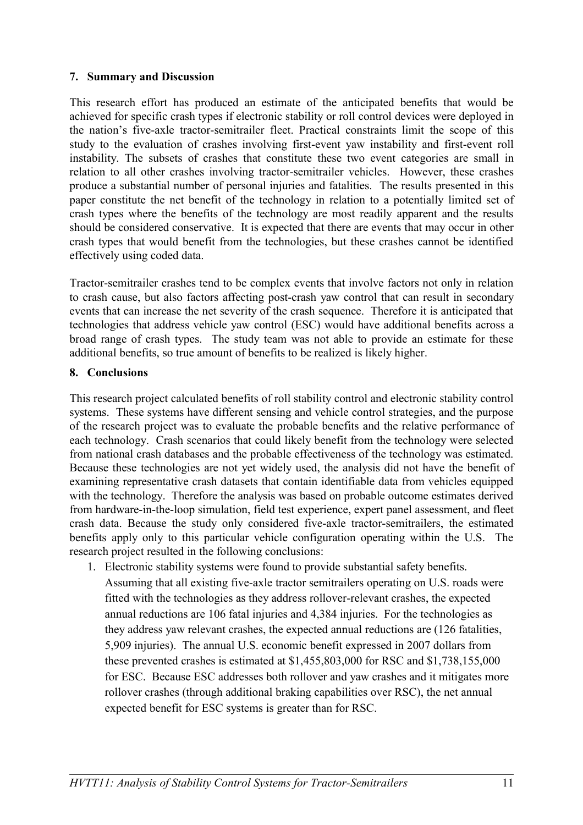#### **7. Summary and Discussion**

This research effort has produced an estimate of the anticipated benefits that would be achieved for specific crash types if electronic stability or roll control devices were deployed in the nation's five-axle tractor-semitrailer fleet. Practical constraints limit the scope of this study to the evaluation of crashes involving first-event yaw instability and first-event roll instability. The subsets of crashes that constitute these two event categories are small in relation to all other crashes involving tractor-semitrailer vehicles. However, these crashes produce a substantial number of personal injuries and fatalities. The results presented in this paper constitute the net benefit of the technology in relation to a potentially limited set of crash types where the benefits of the technology are most readily apparent and the results should be considered conservative. It is expected that there are events that may occur in other crash types that would benefit from the technologies, but these crashes cannot be identified effectively using coded data.

Tractor-semitrailer crashes tend to be complex events that involve factors not only in relation to crash cause, but also factors affecting post-crash yaw control that can result in secondary events that can increase the net severity of the crash sequence. Therefore it is anticipated that technologies that address vehicle yaw control (ESC) would have additional benefits across a broad range of crash types. The study team was not able to provide an estimate for these additional benefits, so true amount of benefits to be realized is likely higher.

### **8. Conclusions**

This research project calculated benefits of roll stability control and electronic stability control systems. These systems have different sensing and vehicle control strategies, and the purpose of the research project was to evaluate the probable benefits and the relative performance of each technology. Crash scenarios that could likely benefit from the technology were selected from national crash databases and the probable effectiveness of the technology was estimated. Because these technologies are not yet widely used, the analysis did not have the benefit of examining representative crash datasets that contain identifiable data from vehicles equipped with the technology. Therefore the analysis was based on probable outcome estimates derived from hardware-in-the-loop simulation, field test experience, expert panel assessment, and fleet crash data. Because the study only considered five-axle tractor-semitrailers, the estimated benefits apply only to this particular vehicle configuration operating within the U.S. The research project resulted in the following conclusions:

1. Electronic stability systems were found to provide substantial safety benefits. Assuming that all existing five-axle tractor semitrailers operating on U.S. roads were fitted with the technologies as they address rollover-relevant crashes, the expected annual reductions are 106 fatal injuries and 4,384 injuries. For the technologies as they address yaw relevant crashes, the expected annual reductions are (126 fatalities, 5,909 injuries). The annual U.S. economic benefit expressed in 2007 dollars from these prevented crashes is estimated at \$1,455,803,000 for RSC and \$1,738,155,000 for ESC. Because ESC addresses both rollover and yaw crashes and it mitigates more rollover crashes (through additional braking capabilities over RSC), the net annual expected benefit for ESC systems is greater than for RSC.